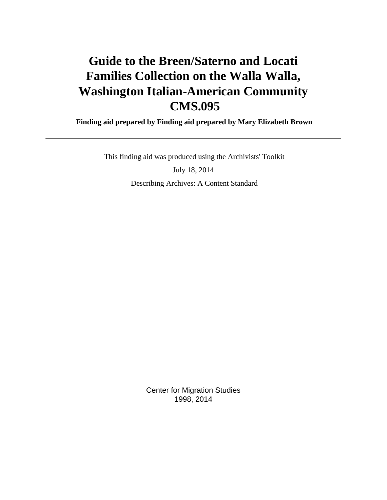# **Guide to the Breen/Saterno and Locati Families Collection on the Walla Walla, Washington Italian-American Community CMS.095**

 **Finding aid prepared by Finding aid prepared by Mary Elizabeth Brown**

 This finding aid was produced using the Archivists' Toolkit July 18, 2014 Describing Archives: A Content Standard

> Center for Migration Studies 1998, 2014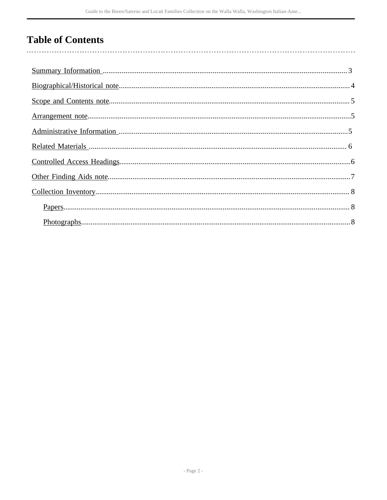## **Table of Contents**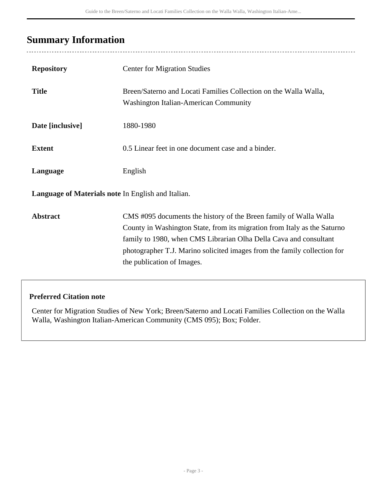## <span id="page-2-0"></span>**Summary Information**

| <b>Repository</b>                                  | <b>Center for Migration Studies</b>                                                                                                                                                                                                                                                                                          |
|----------------------------------------------------|------------------------------------------------------------------------------------------------------------------------------------------------------------------------------------------------------------------------------------------------------------------------------------------------------------------------------|
| <b>Title</b>                                       | Breen/Saterno and Locati Families Collection on the Walla Walla,<br><b>Washington Italian-American Community</b>                                                                                                                                                                                                             |
| Date [inclusive]                                   | 1880-1980                                                                                                                                                                                                                                                                                                                    |
| <b>Extent</b>                                      | 0.5 Linear feet in one document case and a binder.                                                                                                                                                                                                                                                                           |
| Language                                           | English                                                                                                                                                                                                                                                                                                                      |
| Language of Materials note In English and Italian. |                                                                                                                                                                                                                                                                                                                              |
| <b>Abstract</b>                                    | CMS #095 documents the history of the Breen family of Walla Walla<br>County in Washington State, from its migration from Italy as the Saturno<br>family to 1980, when CMS Librarian Olha Della Cava and consultant<br>photographer T.J. Marino solicited images from the family collection for<br>the publication of Images. |

#### **Preferred Citation note**

Center for Migration Studies of New York; Breen/Saterno and Locati Families Collection on the Walla Walla, Washington Italian-American Community (CMS 095); Box; Folder.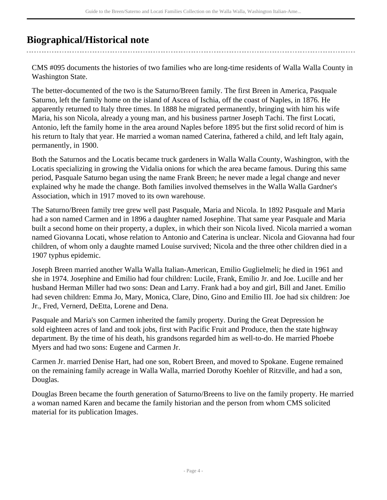## <span id="page-3-0"></span>**Biographical/Historical note**

CMS #095 documents the histories of two families who are long-time residents of Walla Walla County in Washington State.

The better-documented of the two is the Saturno/Breen family. The first Breen in America, Pasquale Saturno, left the family home on the island of Ascea of Ischia, off the coast of Naples, in 1876. He apparently returned to Italy three times. In 1888 he migrated permanently, bringing with him his wife Maria, his son Nicola, already a young man, and his business partner Joseph Tachi. The first Locati, Antonio, left the family home in the area around Naples before 1895 but the first solid record of him is his return to Italy that year. He married a woman named Caterina, fathered a child, and left Italy again, permanently, in 1900.

Both the Saturnos and the Locatis became truck gardeners in Walla Walla County, Washington, with the Locatis specializing in growing the Vidalia onions for which the area became famous. During this same period, Pasquale Saturno began using the name Frank Breen; he never made a legal change and never explained why he made the change. Both families involved themselves in the Walla Walla Gardner's Association, which in 1917 moved to its own warehouse.

The Saturno/Breen family tree grew well past Pasquale, Maria and Nicola. In 1892 Pasquale and Maria had a son named Carmen and in 1896 a daughter named Josephine. That same year Pasquale and Maria built a second home on their property, a duplex, in which their son Nicola lived. Nicola married a woman named Giovanna Locati, whose relation to Antonio and Caterina is unclear. Nicola and Giovanna had four children, of whom only a daughte rnamed Louise survived; Nicola and the three other children died in a 1907 typhus epidemic.

Joseph Breen married another Walla Walla Italian-American, Emilio Guglielmeli; he died in 1961 and she in 1974. Josephine and Emilio had four children: Lucile, Frank, Emilio Jr. and Joe. Lucille and her husband Herman Miller had two sons: Dean and Larry. Frank had a boy and girl, Bill and Janet. Emilio had seven children: Emma Jo, Mary, Monica, Clare, Dino, Gino and Emilio III. Joe had six children: Joe Jr., Fred, Vernerd, DeEtta, Lorene and Dena.

Pasquale and Maria's son Carmen inherited the family property. During the Great Depression he sold eighteen acres of land and took jobs, first with Pacific Fruit and Produce, then the state highway department. By the time of his death, his grandsons regarded him as well-to-do. He married Phoebe Myers and had two sons: Eugene and Carmen Jr.

Carmen Jr. married Denise Hart, had one son, Robert Breen, and moved to Spokane. Eugene remained on the remaining family acreage in Walla Walla, married Dorothy Koehler of Ritzville, and had a son, Douglas.

Douglas Breen became the fourth generation of Saturno/Breens to live on the family property. He married a woman named Karen and became the family historian and the person from whom CMS solicited material for its publication Images.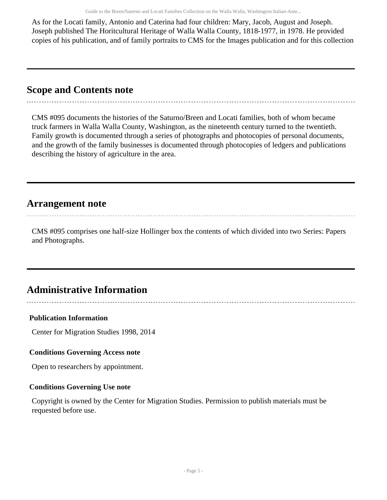Guide to the Breen/Saterno and Locati Families Collection on the Walla Walla, Washington Italian-Ame...

As for the Locati family, Antonio and Caterina had four children: Mary, Jacob, August and Joseph. Joseph published The Horitcultural Heritage of Walla Walla County, 1818-1977, in 1978. He provided copies of his publication, and of family portraits to CMS for the Images publication and for this collection

### <span id="page-4-0"></span>**Scope and Contents note**

CMS #095 documents the histories of the Saturno/Breen and Locati families, both of whom became truck farmers in Walla Walla County, Washington, as the nineteenth century turned to the twentieth. Family growth is documented through a series of photographs and photocopies of personal documents, and the growth of the family businesses is documented through photocopies of ledgers and publications describing the history of agriculture in the area.

## <span id="page-4-1"></span>**Arrangement note**

CMS #095 comprises one half-size Hollinger box the contents of which divided into two Series: Papers and Photographs.

## <span id="page-4-2"></span>**Administrative Information**

#### **Publication Information**

Center for Migration Studies 1998, 2014

#### **Conditions Governing Access note**

Open to researchers by appointment.

#### **Conditions Governing Use note**

Copyright is owned by the Center for Migration Studies. Permission to publish materials must be requested before use.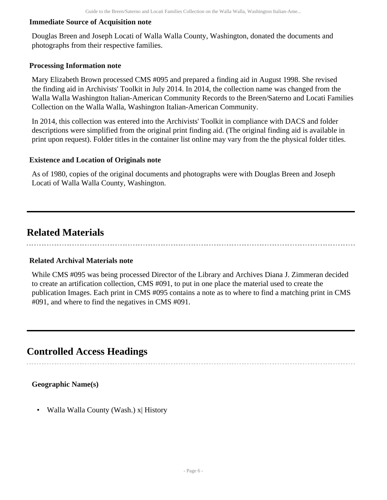#### **Immediate Source of Acquisition note**

Douglas Breen and Joseph Locati of Walla Walla County, Washington, donated the documents and photographs from their respective families.

#### **Processing Information note**

Mary Elizabeth Brown processed CMS #095 and prepared a finding aid in August 1998. She revised the finding aid in Archivists' Toolkit in July 2014. In 2014, the collection name was changed from the Walla Walla Washington Italian-American Community Records to the Breen/Saterno and Locati Families Collection on the Walla Walla, Washington Italian-American Community.

In 2014, this collection was entered into the Archivists' Toolkit in compliance with DACS and folder descriptions were simplified from the original print finding aid. (The original finding aid is available in print upon request). Folder titles in the container list online may vary from the the physical folder titles.

#### **Existence and Location of Originals note**

As of 1980, copies of the original documents and photographs were with Douglas Breen and Joseph Locati of Walla Walla County, Washington.

### <span id="page-5-0"></span>**Related Materials**

#### **Related Archival Materials note**

While CMS #095 was being processed Director of the Library and Archives Diana J. Zimmeran decided to create an artification collection, CMS #091, to put in one place the material used to create the publication Images. Each print in CMS #095 contains a note as to where to find a matching print in CMS #091, and where to find the negatives in CMS #091.

### <span id="page-5-1"></span>**Controlled Access Headings**

#### **Geographic Name(s)**

• Walla Walla County (Wash.) x| History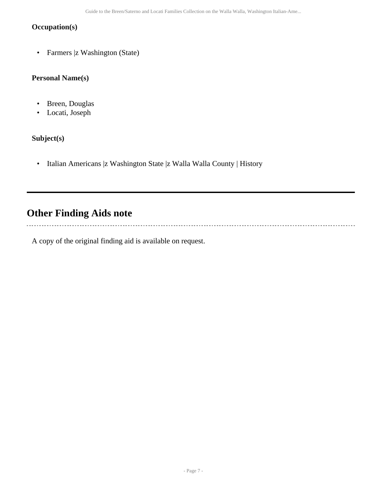#### **Occupation(s)**

• Farmers |z Washington (State)

#### **Personal Name(s)**

- Breen, Douglas
- Locati, Joseph

#### **Subject(s)**

• Italian Americans |z Washington State |z Walla Walla County | History

## <span id="page-6-0"></span>**Other Finding Aids note**

A copy of the original finding aid is available on request.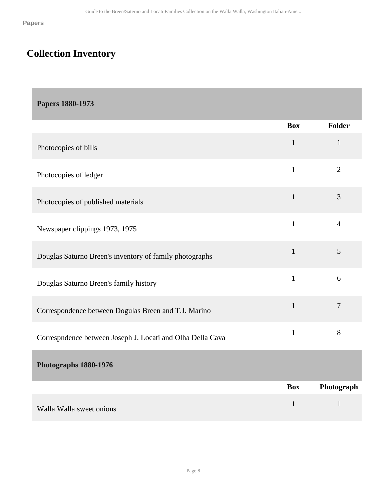# <span id="page-7-0"></span>**Collection Inventory**

<span id="page-7-2"></span><span id="page-7-1"></span>

| <b>Papers 1880-1973</b>                                    |              |                |
|------------------------------------------------------------|--------------|----------------|
|                                                            | <b>Box</b>   | Folder         |
| Photocopies of bills                                       | $\mathbf{1}$ | $\mathbf{1}$   |
| Photocopies of ledger                                      | $\mathbf{1}$ | $\overline{2}$ |
| Photocopies of published materials                         | $\mathbf{1}$ | 3              |
| Newspaper clippings 1973, 1975                             | $\mathbf{1}$ | $\overline{4}$ |
| Douglas Saturno Breen's inventory of family photographs    | $\mathbf{1}$ | 5              |
| Douglas Saturno Breen's family history                     | $\mathbf{1}$ | 6              |
| Correspondence between Dogulas Breen and T.J. Marino       | $\mathbf{1}$ | $\tau$         |
| Correspndence between Joseph J. Locati and Olha Della Cava | $\mathbf{1}$ | $8\,$          |
| Photographs 1880-1976                                      |              |                |
|                                                            | <b>Box</b>   | Photograph     |
| Walla Walla sweet onions                                   | $\mathbf{1}$ | $\mathbf{1}$   |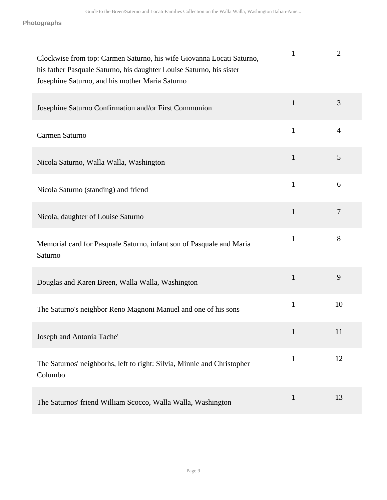| Clockwise from top: Carmen Saturno, his wife Giovanna Locati Saturno,<br>his father Pasquale Saturno, his daughter Louise Saturno, his sister<br>Josephine Saturno, and his mother Maria Saturno | $\mathbf{1}$ | $\overline{2}$ |
|--------------------------------------------------------------------------------------------------------------------------------------------------------------------------------------------------|--------------|----------------|
| Josephine Saturno Confirmation and/or First Communion                                                                                                                                            | $\mathbf{1}$ | 3              |
| Carmen Saturno                                                                                                                                                                                   | $\mathbf{1}$ | $\overline{4}$ |
| Nicola Saturno, Walla Walla, Washington                                                                                                                                                          | $\mathbf{1}$ | 5              |
| Nicola Saturno (standing) and friend                                                                                                                                                             | $\mathbf{1}$ | 6              |
| Nicola, daughter of Louise Saturno                                                                                                                                                               | $\mathbf{1}$ | $\overline{7}$ |
| Memorial card for Pasquale Saturno, infant son of Pasquale and Maria<br>Saturno                                                                                                                  | $\mathbf{1}$ | 8              |
| Douglas and Karen Breen, Walla Walla, Washington                                                                                                                                                 | $\mathbf{1}$ | 9              |
| The Saturno's neighbor Reno Magnoni Manuel and one of his sons                                                                                                                                   | $\mathbf{1}$ | 10             |
| Joseph and Antonia Tache'                                                                                                                                                                        | $\mathbf{1}$ | 11             |
| The Saturnos' neighborhs, left to right: Silvia, Minnie and Christopher<br>Columbo                                                                                                               | $\mathbf{1}$ | 12             |
| The Saturnos' friend William Scocco, Walla Walla, Washington                                                                                                                                     | $\mathbf{1}$ | 13             |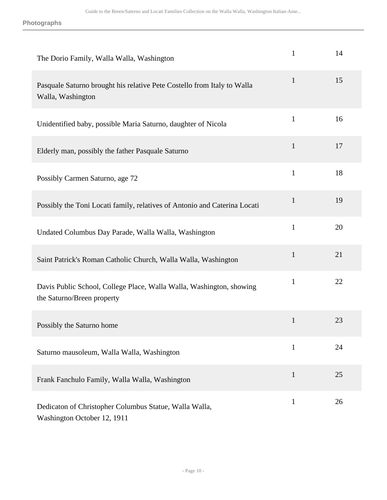| The Dorio Family, Walla Walla, Washington                                                          | $\mathbf{1}$ | 14 |
|----------------------------------------------------------------------------------------------------|--------------|----|
| Pasquale Saturno brought his relative Pete Costello from Italy to Walla<br>Walla, Washington       | $\mathbf{1}$ | 15 |
| Unidentified baby, possible Maria Saturno, daughter of Nicola                                      | $\mathbf{1}$ | 16 |
| Elderly man, possibly the father Pasquale Saturno                                                  | $\mathbf{1}$ | 17 |
| Possibly Carmen Saturno, age 72                                                                    | $\mathbf{1}$ | 18 |
| Possibly the Toni Locati family, relatives of Antonio and Caterina Locati                          | $\mathbf{1}$ | 19 |
| Undated Columbus Day Parade, Walla Walla, Washington                                               | $\mathbf{1}$ | 20 |
| Saint Patrick's Roman Catholic Church, Walla Walla, Washington                                     | $\mathbf{1}$ | 21 |
| Davis Public School, College Place, Walla Walla, Washington, showing<br>the Saturno/Breen property | $\mathbf{1}$ | 22 |
| Possibly the Saturno home                                                                          | $\mathbf{1}$ | 23 |
| Saturno mausoleum, Walla Walla, Washington                                                         | $\mathbf{1}$ | 24 |
| Frank Fanchulo Family, Walla Walla, Washington                                                     | $\mathbf{1}$ | 25 |
| Dedicaton of Christopher Columbus Statue, Walla Walla,<br>Washington October 12, 1911              | $\mathbf{1}$ | 26 |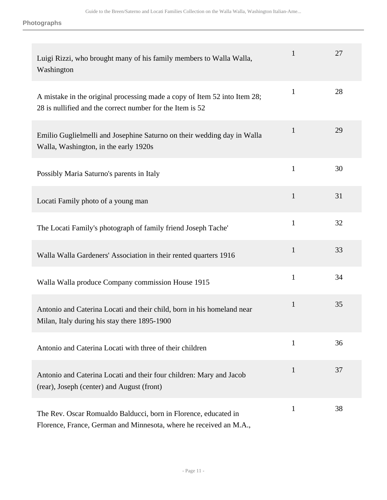| Luigi Rizzi, who brought many of his family members to Walla Walla,<br>Washington                                                      | $\mathbf{1}$ | 27 |
|----------------------------------------------------------------------------------------------------------------------------------------|--------------|----|
| A mistake in the original processing made a copy of Item 52 into Item 28;<br>28 is nullified and the correct number for the Item is 52 | $\mathbf{1}$ | 28 |
| Emilio Guglielmelli and Josephine Saturno on their wedding day in Walla<br>Walla, Washington, in the early 1920s                       | $\mathbf{1}$ | 29 |
| Possibly Maria Saturno's parents in Italy                                                                                              | $\mathbf{1}$ | 30 |
| Locati Family photo of a young man                                                                                                     | $\mathbf{1}$ | 31 |
| The Locati Family's photograph of family friend Joseph Tache'                                                                          | $\mathbf{1}$ | 32 |
| Walla Walla Gardeners' Association in their rented quarters 1916                                                                       | $\mathbf{1}$ | 33 |
| Walla Walla produce Company commission House 1915                                                                                      | $\mathbf{1}$ | 34 |
| Antonio and Caterina Locati and their child, born in his homeland near<br>Milan, Italy during his stay there 1895-1900                 | $\mathbf{1}$ | 35 |
| Antonio and Caterina Locati with three of their children                                                                               | $\mathbf{1}$ | 36 |
| Antonio and Caterina Locati and their four children: Mary and Jacob<br>(rear), Joseph (center) and August (front)                      | 1            | 37 |
| The Rev. Oscar Romualdo Balducci, born in Florence, educated in<br>Florence, France, German and Minnesota, where he received an M.A.,  | $\mathbf{1}$ | 38 |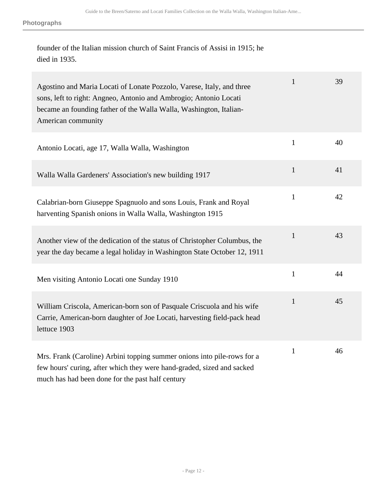founder of the Italian mission church of Saint Francis of Assisi in 1915; he died in 1935.

| Agostino and Maria Locati of Lonate Pozzolo, Varese, Italy, and three<br>sons, left to right: Angneo, Antonio and Ambrogio; Antonio Locati<br>became an founding father of the Walla Walla, Washington, Italian-<br>American community | $\mathbf{1}$ | 39 |
|----------------------------------------------------------------------------------------------------------------------------------------------------------------------------------------------------------------------------------------|--------------|----|
| Antonio Locati, age 17, Walla Walla, Washington                                                                                                                                                                                        | $\mathbf{1}$ | 40 |
| Walla Walla Gardeners' Association's new building 1917                                                                                                                                                                                 | $\mathbf{1}$ | 41 |
| Calabrian-born Giuseppe Spagnuolo and sons Louis, Frank and Royal<br>harventing Spanish onions in Walla Walla, Washington 1915                                                                                                         | $\mathbf{1}$ | 42 |
| Another view of the dedication of the status of Christopher Columbus, the<br>year the day became a legal holiday in Washington State October 12, 1911                                                                                  | $\mathbf{1}$ | 43 |
| Men visiting Antonio Locati one Sunday 1910                                                                                                                                                                                            | $\mathbf{1}$ | 44 |
| William Criscola, American-born son of Pasquale Criscuola and his wife<br>Carrie, American-born daughter of Joe Locati, harvesting field-pack head<br>lettuce 1903                                                                     | $\mathbf{1}$ | 45 |
| Mrs. Frank (Caroline) Arbini topping summer onions into pile-rows for a<br>few hours' curing, after which they were hand-graded, sized and sacked<br>much has had been done for the past half century                                  | $\mathbf{1}$ | 46 |